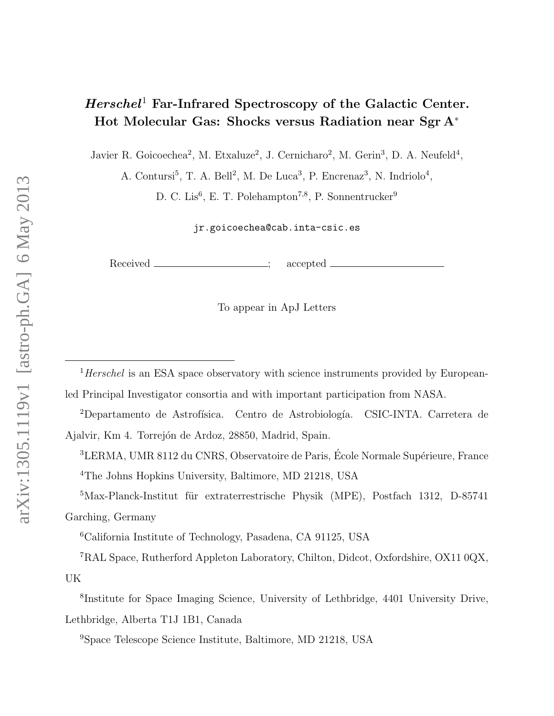# $Herschel<sup>1</sup>$  Far-Infrared Spectroscopy of the Galactic Center. Hot Molecular Gas: Shocks versus Radiation near Sgr A<sup>∗</sup>

Javier R. Goicoechea<sup>2</sup>, M. Etxaluze<sup>2</sup>, J. Cernicharo<sup>2</sup>, M. Gerin<sup>3</sup>, D. A. Neufeld<sup>4</sup>,

A. Contursi<sup>5</sup>, T. A. Bell<sup>2</sup>, M. De Luca<sup>3</sup>, P. Encrenaz<sup>3</sup>, N. Indriolo<sup>4</sup>,

D. C. Lis<sup>6</sup>, E. T. Polehampton<sup>7,8</sup>, P. Sonnentrucker<sup>9</sup>

jr.goicoechea@cab.inta-csic.es

Received \_\_\_\_\_\_\_\_\_\_\_\_\_\_\_\_; accepted \_

To appear in ApJ Letters

 $1$ <sup>1</sup>Herschel is an ESA space observatory with science instruments provided by Europeanled Principal Investigator consortia and with important participation from NASA.

<sup>2</sup>Departamento de Astrofísica. Centro de Astrobiología. CSIC-INTA. Carretera de Ajalvir, Km 4. Torrejón de Ardoz, 28850, Madrid, Spain.

<sup>3</sup>LERMA, UMR 8112 du CNRS, Observatoire de Paris, École Normale Supérieure, France <sup>4</sup>The Johns Hopkins University, Baltimore, MD 21218, USA

 $5$ Max-Planck-Institut für extraterrestrische Physik (MPE), Postfach 1312, D-85741 Garching, Germany

<sup>6</sup>California Institute of Technology, Pasadena, CA 91125, USA

<sup>7</sup>RAL Space, Rutherford Appleton Laboratory, Chilton, Didcot, Oxfordshire, OX11 0QX, UK

8 Institute for Space Imaging Science, University of Lethbridge, 4401 University Drive, Lethbridge, Alberta T1J 1B1, Canada

<sup>9</sup>Space Telescope Science Institute, Baltimore, MD 21218, USA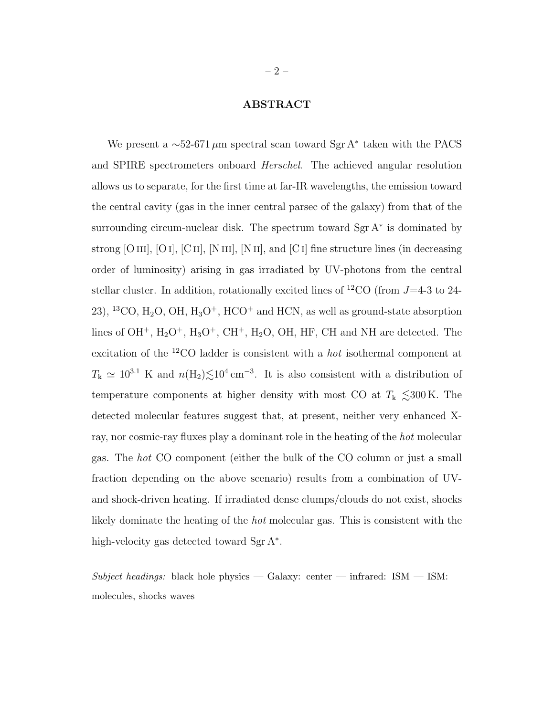# ABSTRACT

We present a  $\sim$ 52-671 µm spectral scan toward Sgr A<sup>\*</sup> taken with the PACS and SPIRE spectrometers onboard Herschel. The achieved angular resolution allows us to separate, for the first time at far-IR wavelengths, the emission toward the central cavity (gas in the inner central parsec of the galaxy) from that of the surrounding circum-nuclear disk. The spectrum toward Sgr A<sup>∗</sup> is dominated by strong [O III], [O I], [C II], [N III], [N II], and [C I] fine structure lines (in decreasing order of luminosity) arising in gas irradiated by UV-photons from the central stellar cluster. In addition, rotationally excited lines of <sup>12</sup>CO (from  $J=4-3$  to 24-23), <sup>13</sup>CO, H<sub>2</sub>O, OH, H<sub>3</sub>O<sup>+</sup>, HCO<sup>+</sup> and HCN, as well as ground-state absorption lines of OH<sup>+</sup>, H<sub>2</sub>O<sup>+</sup>, H<sub>3</sub>O<sup>+</sup>, CH<sup>+</sup>, H<sub>2</sub>O, OH, HF, CH and NH are detected. The excitation of the <sup>12</sup>CO ladder is consistent with a hot isothermal component at  $T_{\rm k} \simeq 10^{3.1}$  K and  $n(\rm H_2)$  $\lesssim$ 10<sup>4</sup> cm<sup>-3</sup>. It is also consistent with a distribution of temperature components at higher density with most CO at  $T_k \leq 300 \text{ K}$ . The detected molecular features suggest that, at present, neither very enhanced Xray, nor cosmic-ray fluxes play a dominant role in the heating of the hot molecular gas. The hot CO component (either the bulk of the CO column or just a small fraction depending on the above scenario) results from a combination of UVand shock-driven heating. If irradiated dense clumps/clouds do not exist, shocks likely dominate the heating of the hot molecular gas. This is consistent with the high-velocity gas detected toward Sgr A<sup>\*</sup>.

Subject headings: black hole physics — Galaxy: center — infrared:  $ISM - ISM$ : molecules, shocks waves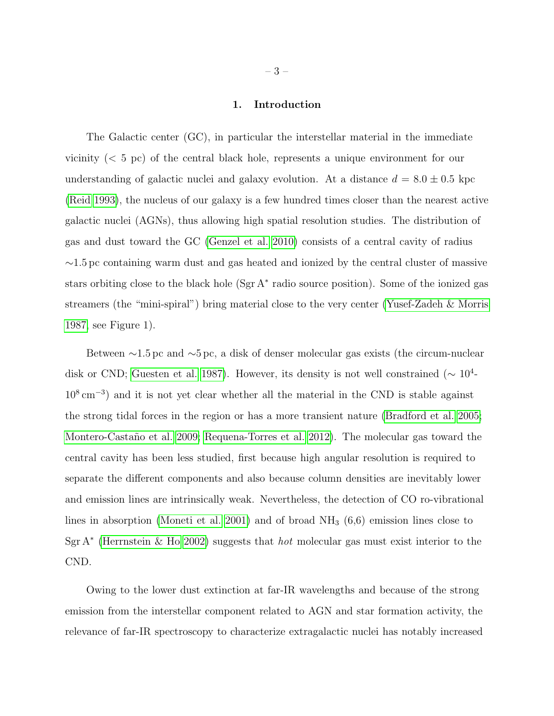## 1. Introduction

The Galactic center (GC), in particular the interstellar material in the immediate vicinity (< 5 pc) of the central black hole, represents a unique environment for our understanding of galactic nuclei and galaxy evolution. At a distance  $d = 8.0 \pm 0.5$  kpc [\(Reid 1993\)](#page-15-0), the nucleus of our galaxy is a few hundred times closer than the nearest active galactic nuclei (AGNs), thus allowing high spatial resolution studies. The distribution of gas and dust toward the GC [\(Genzel et al. 2010\)](#page-13-0) consists of a central cavity of radius ∼1.5 pc containing warm dust and gas heated and ionized by the central cluster of massive stars orbiting close to the black hole (Sgr A<sup>∗</sup> radio source position). Some of the ionized gas streamers (the "mini-spiral") bring material close to the very center [\(Yusef-Zadeh & Morris](#page-15-1) [1987,](#page-15-1) see Figure 1).

Between ∼1.5 pc and ∼5 pc, a disk of denser molecular gas exists (the circum-nuclear disk or CND; [Guesten et al. 1987\)](#page-13-1). However, its density is not well constrained ( $\sim 10^4$ - $10^8 \text{ cm}^{-3}$ ) and it is not yet clear whether all the material in the CND is stable against the strong tidal forces in the region or has a more transient nature [\(Bradford et al. 2005;](#page-13-2) Montero-Castaño et al. 2009; [Requena-Torres et al. 2012\)](#page-15-2). The molecular gas toward the central cavity has been less studied, first because high angular resolution is required to separate the different components and also because column densities are inevitably lower and emission lines are intrinsically weak. Nevertheless, the detection of CO ro-vibrational lines in absorption [\(Moneti et al. 2001\)](#page-14-1) and of broad  $NH<sub>3</sub>$  (6,6) emission lines close to Sgr A<sup>∗</sup> [\(Herrnstein & Ho 2002\)](#page-14-2) suggests that *hot* molecular gas must exist interior to the CND.

Owing to the lower dust extinction at far-IR wavelengths and because of the strong emission from the interstellar component related to AGN and star formation activity, the relevance of far-IR spectroscopy to characterize extragalactic nuclei has notably increased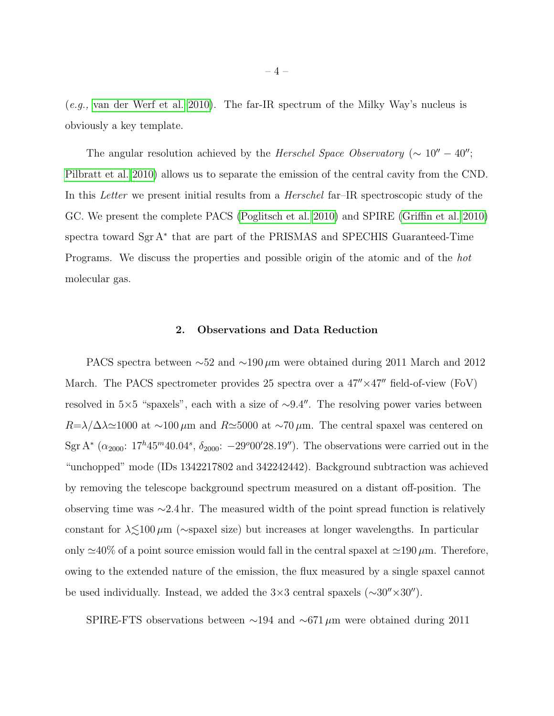(e.g., [van der Werf et al. 2010\)](#page-15-3). The far-IR spectrum of the Milky Way's nucleus is obviously a key template.

The angular resolution achieved by the Herschel Space Observatory ( $\sim 10'' - 40''$ ; [Pilbratt et al. 2010\)](#page-15-4) allows us to separate the emission of the central cavity from the CND. In this Letter we present initial results from a Herschel far–IR spectroscopic study of the GC. We present the complete PACS [\(Poglitsch et al. 2010\)](#page-15-5) and SPIRE [\(Griffin et al. 2010\)](#page-13-3) spectra toward Sgr A<sup>∗</sup> that are part of the PRISMAS and SPECHIS Guaranteed-Time Programs. We discuss the properties and possible origin of the atomic and of the hot molecular gas.

# 2. Observations and Data Reduction

PACS spectra between ∼52 and ∼190 µm were obtained during 2011 March and 2012 March. The PACS spectrometer provides 25 spectra over a  $47'' \times 47''$  field-of-view (FoV) resolved in 5×5 "spaxels", each with a size of  $\sim$ 9.4". The resolving power varies between  $R=\lambda/\Delta\lambda \approx 1000$  at ~100 µm and  $R\simeq 5000$  at ~70 µm. The central spaxel was centered on Sgr A<sup>\*</sup> ( $\alpha_{2000}$ : 17<sup>h</sup>45<sup>m</sup>40.04<sup>s</sup>,  $\delta_{2000}$ : -29<sup>o</sup>00'28.19"). The observations were carried out in the "unchopped" mode (IDs 1342217802 and 342242442). Background subtraction was achieved by removing the telescope background spectrum measured on a distant off-position. The observing time was ∼2.4 hr. The measured width of the point spread function is relatively constant for  $\lambda \lesssim 100 \,\mu$ m (∼spaxel size) but increases at longer wavelengths. In particular only  $\approx$ 40% of a point source emission would fall in the central spaxel at  $\approx$ 190  $\mu$ m. Therefore, owing to the extended nature of the emission, the flux measured by a single spaxel cannot be used individually. Instead, we added the  $3\times3$  central spaxels ( $\sim30''\times30''$ ).

SPIRE-FTS observations between  $\sim$ 194 and  $\sim$ 671 µm were obtained during 2011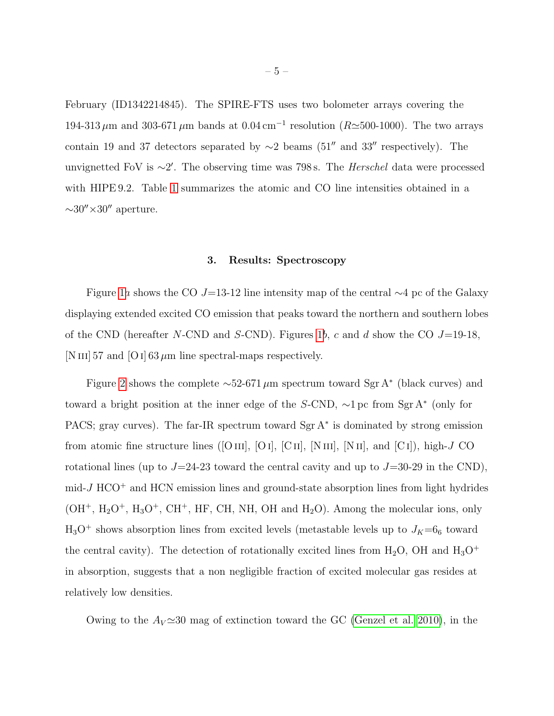February (ID1342214845). The SPIRE-FTS uses two bolometer arrays covering the 194-313  $\mu$ m and 303-671  $\mu$ m bands at 0.04 cm<sup>-1</sup> resolution (R $\simeq$ 500-1000). The two arrays contain 19 and 37 detectors separated by  $\sim$ 2 beams (51" and 33" respectively). The unvignetted FoV is ∼2'. The observing time was 798 s. The *Herschel* data were processed with HIPE 9.2. Table [1](#page-16-0) summarizes the atomic and CO line intensities obtained in a  $\sim$ 30″×30″ aperture.

## 3. Results: Spectroscopy

Figure [1](#page-17-0)a shows the CO J=13-12 line intensity map of the central  $\sim$ 4 pc of the Galaxy displaying extended excited CO emission that peaks toward the northern and southern lobes of the CND (hereafter N-CND and S-CND). Figures [1](#page-17-0)b, c and d show the CO  $J=19-18$ , [N III] 57 and [O I] 63  $\mu$ m line spectral-maps respectively.

Figure [2](#page-18-0) shows the complete  $\sim$ 52-671 µm spectrum toward Sgr A<sup>\*</sup> (black curves) and toward a bright position at the inner edge of the S-CND, ∼1 pc from Sgr A<sup>∗</sup> (only for PACS; gray curves). The far-IR spectrum toward Sgr A<sup>\*</sup> is dominated by strong emission from atomic fine structure lines ([O III], [O I], [C II], [N III], [N II], and [C I]), high-J CO rotational lines (up to  $J=24-23$  toward the central cavity and up to  $J=30-29$  in the CND),  $mid-J HCO<sup>+</sup>$  and HCN emission lines and ground-state absorption lines from light hydrides  $(OH^+$ ,  $H_2O^+$ ,  $H_3O^+$ ,  $CH^+$ , HF, CH, NH, OH and  $H_2O$ ). Among the molecular ions, only  $H_3O^+$  shows absorption lines from excited levels (metastable levels up to  $J_K=6_6$  toward the central cavity). The detection of rotationally excited lines from  $H_2O$ , OH and  $H_3O^+$ in absorption, suggests that a non negligible fraction of excited molecular gas resides at relatively low densities.

Owing to the  $A_V \simeq 30$  mag of extinction toward the GC [\(Genzel et al. 2010\)](#page-13-0), in the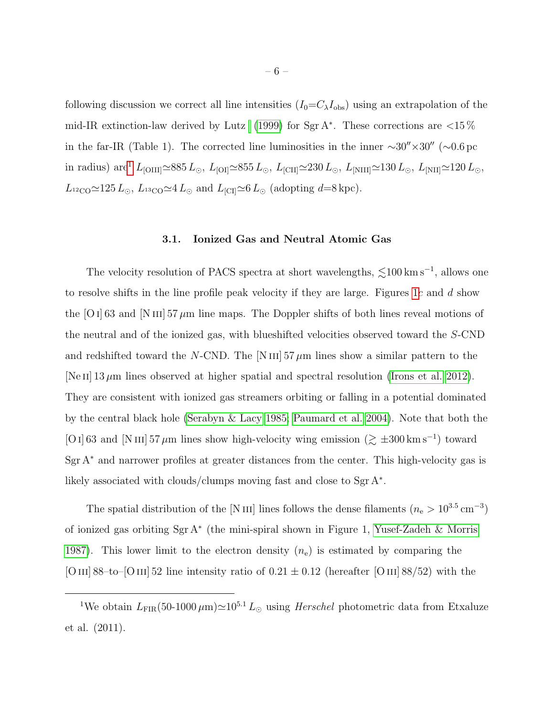following discussion we correct all line intensities  $(I_0=C_\lambda I_{obs})$  using an extrapolation of the mid-IR extinction-law derived by Lutz [\(1999\)](#page-14-3) for Sgr A<sup>\*</sup>. These corrections are  $< 15\%$ in the far-IR (Table 1). The corrected line luminosities in the inner  $\sim 30'' \times 30''$  ( $\sim 0.6$  pc in radius) are<sup>[1](#page-5-0)</sup>  $L_{\rm [OIII]} \simeq 885\,L_{\odot},\ L_{\rm [OI]} \simeq 855\,L_{\odot},\ L_{\rm [CII]} \simeq 230\,L_{\odot},\ L_{\rm [NIII]} \simeq 130\,L_{\odot},\ L_{\rm [NII]} \simeq 120\,L_{\odot},$  $L_{\rm ^{12}CO} \simeq 125 L_{\odot}$ ,  $L_{\rm ^{13}CO} \simeq 4 L_{\odot}$  and  $L_{\rm [CI]} \simeq 6 L_{\odot}$  (adopting d=8 kpc).

### 3.1. Ionized Gas and Neutral Atomic Gas

The velocity resolution of PACS spectra at short wavelengths,  $\lesssim$ 100 km s<sup>-1</sup>, allows one to resolve shifts in the line profile peak velocity if they are large. Figures [1](#page-17-0)c and d show the [O i] 63 and [N iii] 57  $\mu$ m line maps. The Doppler shifts of both lines reveal motions of the neutral and of the ionized gas, with blueshifted velocities observed toward the S-CND and redshifted toward the N-CND. The  $[N\text{ III}]$  57  $\mu$ m lines show a similar pattern to the [Ne II]  $13 \mu$ m lines observed at higher spatial and spectral resolution [\(Irons et al. 2012\)](#page-14-4). They are consistent with ionized gas streamers orbiting or falling in a potential dominated by the central black hole [\(Serabyn & Lacy 1985;](#page-15-6) [Paumard et al. 2004\)](#page-15-7). Note that both the [O I] 63 and [N III] 57  $\mu$ m lines show high-velocity wing emission ( $\gtrsim \pm 300 \,\mathrm{km \, s^{-1}}$ ) toward Sgr A<sup>∗</sup> and narrower profiles at greater distances from the center. This high-velocity gas is likely associated with clouds/clumps moving fast and close to Sgr A<sup>∗</sup> .

The spatial distribution of the [N III] lines follows the dense filaments  $(n_e > 10^{3.5} \text{ cm}^{-3})$ of ionized gas orbiting Sgr A<sup>∗</sup> (the mini-spiral shown in Figure 1, [Yusef-Zadeh & Morris](#page-15-1) [1987\)](#page-15-1). This lower limit to the electron density  $(n_e)$  is estimated by comparing the [O III] 88–to–[O III] 52 line intensity ratio of  $0.21 \pm 0.12$  (hereafter [O III] 88/52) with the

<span id="page-5-0"></span><sup>&</sup>lt;sup>1</sup>We obtain  $L_{\text{FIR}}(50-1000 \,\mu\text{m}) \approx 10^{5.1} L_{\odot}$  using *Herschel* photometric data from Etxaluze et al. (2011).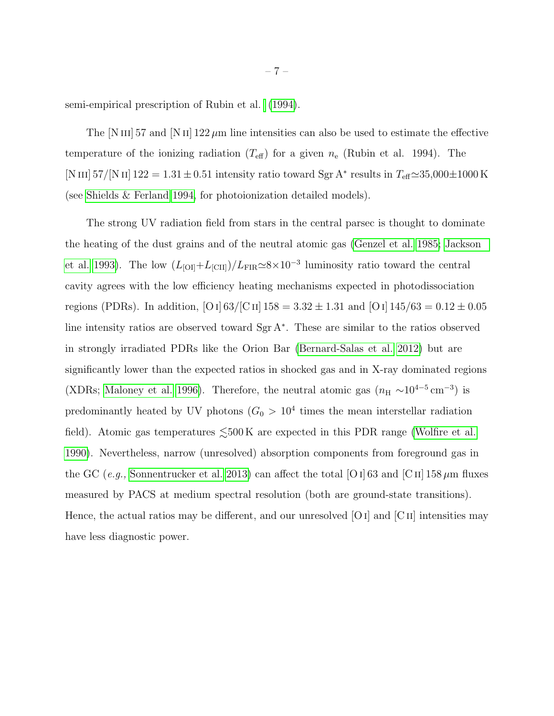semi-empirical prescription of Rubin et al. [\(1994\)](#page-15-8).

The  $[N III]$  57 and  $[N II]$  122  $\mu$ m line intensities can also be used to estimate the effective temperature of the ionizing radiation  $(T_{\text{eff}})$  for a given  $n_{\text{e}}$  (Rubin et al. 1994). The [N III]  $57/[N II]$  122 = 1.31 ± 0.51 intensity ratio toward Sgr A<sup>\*</sup> results in  $T_{\text{eff}} \approx 35,000 \pm 1000$  K (see [Shields & Ferland 1994,](#page-15-9) for photoionization detailed models).

The strong UV radiation field from stars in the central parsec is thought to dominate the heating of the dust grains and of the neutral atomic gas [\(Genzel et al. 1985;](#page-13-4) [Jackson](#page-14-5) [et al. 1993\)](#page-14-5). The low  $(L_{\text{[OI]}}+L_{\text{[CII]}})/L_{\text{FIR}}\simeq8\times10^{-3}$  luminosity ratio toward the central cavity agrees with the low efficiency heating mechanisms expected in photodissociation regions (PDRs). In addition, [O I]  $63/[C\text{H}] 158 = 3.32 \pm 1.31$  and [O I]  $145/63 = 0.12 \pm 0.05$ line intensity ratios are observed toward Sgr A<sup>∗</sup> . These are similar to the ratios observed in strongly irradiated PDRs like the Orion Bar [\(Bernard-Salas et al. 2012\)](#page-13-5) but are significantly lower than the expected ratios in shocked gas and in X-ray dominated regions (XDRs; [Maloney et al. 1996\)](#page-14-6). Therefore, the neutral atomic gas  $(n_H \sim 10^{4-5} \text{ cm}^{-3})$  is predominantly heated by UV photons  $(G_0 > 10^4)$  times the mean interstellar radiation field). Atomic gas temperatures  $\leq 500 \,\mathrm{K}$  are expected in this PDR range [\(Wolfire et al.](#page-15-10) [1990\)](#page-15-10). Nevertheless, narrow (unresolved) absorption components from foreground gas in the GC (e.g., [Sonnentrucker et al. 2013\)](#page-15-11) can affect the total [O i] 63 and [C ii] 158  $\mu$ m fluxes measured by PACS at medium spectral resolution (both are ground-state transitions). Hence, the actual ratios may be different, and our unresolved  $[O I]$  and  $[C II]$  intensities may have less diagnostic power.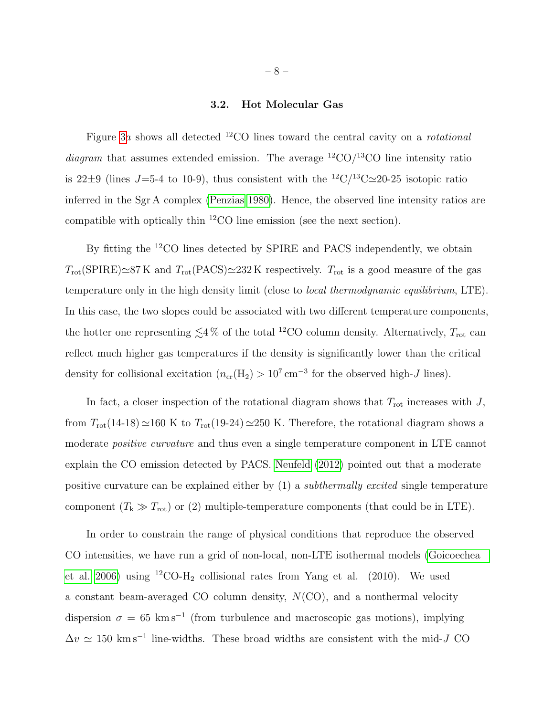### 3.2. Hot Molecular Gas

Figure [3](#page-19-0)a shows all detected <sup>12</sup>CO lines toward the central cavity on a *rotational* diagram that assumes extended emission. The average  ${}^{12}CO/{}^{13}CO$  line intensity ratio is 22 $\pm$ 9 (lines J=5-4 to 10-9), thus consistent with the <sup>12</sup>C/<sup>13</sup>C $\simeq$ 20-25 isotopic ratio inferred in the Sgr A complex [\(Penzias 1980\)](#page-15-12). Hence, the observed line intensity ratios are compatible with optically thin <sup>12</sup>CO line emission (see the next section).

By fitting the <sup>12</sup>CO lines detected by SPIRE and PACS independently, we obtain  $T_{\rm rot}$ (SPIRE) $\simeq$ 87 K and  $T_{\rm rot}$ (PACS) $\simeq$ 232 K respectively.  $T_{\rm rot}$  is a good measure of the gas temperature only in the high density limit (close to local thermodynamic equilibrium, LTE). In this case, the two slopes could be associated with two different temperature components, the hotter one representing  $\lesssim 4\%$  of the total <sup>12</sup>CO column density. Alternatively,  $T_{\text{rot}}$  can reflect much higher gas temperatures if the density is significantly lower than the critical density for collisional excitation  $(n_{cr}(H_2) > 10^7 \text{ cm}^{-3}$  for the observed high-J lines).

In fact, a closer inspection of the rotational diagram shows that  $T_{\text{rot}}$  increases with  $J$ , from  $T_{\text{rot}}(14{\text -}18) \approx 160 \text{ K}$  to  $T_{\text{rot}}(19{\text -}24) \approx 250 \text{ K}$ . Therefore, the rotational diagram shows a moderate *positive curvature* and thus even a single temperature component in LTE cannot explain the CO emission detected by PACS. [Neufeld](#page-14-7) [\(2012\)](#page-14-7) pointed out that a moderate positive curvature can be explained either by (1) a subthermally excited single temperature component  $(T_k \gg T_{\rm rot})$  or (2) multiple-temperature components (that could be in LTE).

In order to constrain the range of physical conditions that reproduce the observed CO intensities, we have run a grid of non-local, non-LTE isothermal models [\(Goicoechea](#page-13-6) [et al. 2006\)](#page-13-6) using  ${}^{12}CO-H_2$  collisional rates from Yang et al. (2010). We used a constant beam-averaged CO column density,  $N(CO)$ , and a nonthermal velocity dispersion  $\sigma = 65 \text{ km s}^{-1}$  (from turbulence and macroscopic gas motions), implying  $\Delta v \simeq 150 \text{ km s}^{-1}$  line-widths. These broad widths are consistent with the mid-J CO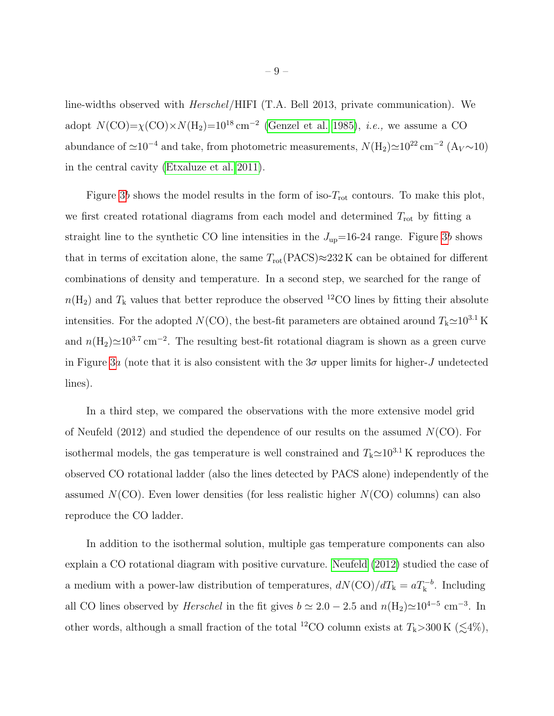line-widths observed with Herschel/HIFI (T.A. Bell 2013, private communication). We adopt  $N({\rm CO}) = \chi({\rm CO}) \times N({\rm H_2}) = 10^{18} \text{ cm}^{-2}$  [\(Genzel et al. 1985\)](#page-13-4), *i.e.*, we assume a CO abundance of  $\simeq 10^{-4}$  and take, from photometric measurements,  $N(\text{H}_2)\simeq 10^{22} \text{ cm}^{-2}$  (A<sub>V</sub> ~ 10) in the central cavity [\(Etxaluze et al. 2011\)](#page-13-7).

Figure [3](#page-19-0)b shows the model results in the form of iso- $T_{\text{rot}}$  contours. To make this plot, we first created rotational diagrams from each model and determined  $T_{\text{rot}}$  by fitting a straight line to the synthetic CO line intensities in the  $J_{\text{up}}=16-24$  range. Figure [3](#page-19-0)b shows that in terms of excitation alone, the same  $T_{\text{rot}}(\text{PACS}) \approx 232 \text{ K}$  can be obtained for different combinations of density and temperature. In a second step, we searched for the range of  $n(\text{H}_2)$  and  $T_k$  values that better reproduce the observed <sup>12</sup>CO lines by fitting their absolute intensities. For the adopted  $N(CO)$ , the best-fit parameters are obtained around  $T_k \simeq 10^{3.1} \text{ K}$ and  $n(\text{H}_2)\simeq10^{3.7}\text{ cm}^{-2}$ . The resulting best-fit rotational diagram is shown as a green curve in Figure [3](#page-19-0)a (note that it is also consistent with the  $3\sigma$  upper limits for higher-J undetected lines).

In a third step, we compared the observations with the more extensive model grid of Neufeld (2012) and studied the dependence of our results on the assumed  $N(CO)$ . For isothermal models, the gas temperature is well constrained and  $T_{k} \approx 10^{3.1}$  K reproduces the observed CO rotational ladder (also the lines detected by PACS alone) independently of the assumed  $N(CO)$ . Even lower densities (for less realistic higher  $N(CO)$  columns) can also reproduce the CO ladder.

In addition to the isothermal solution, multiple gas temperature components can also explain a CO rotational diagram with positive curvature. [Neufeld](#page-14-7) [\(2012\)](#page-14-7) studied the case of a medium with a power-law distribution of temperatures,  $dN(\text{CO})/dT_k = aT_k^{-b}$ . Including all CO lines observed by *Herschel* in the fit gives  $b \simeq 2.0 - 2.5$  and  $n(H_2) \simeq 10^{4-5}$  cm<sup>-3</sup>. In other words, although a small fraction of the total <sup>12</sup>CO column exists at  $T_k>300 \text{ K } (\lesssim 4\%)$ ,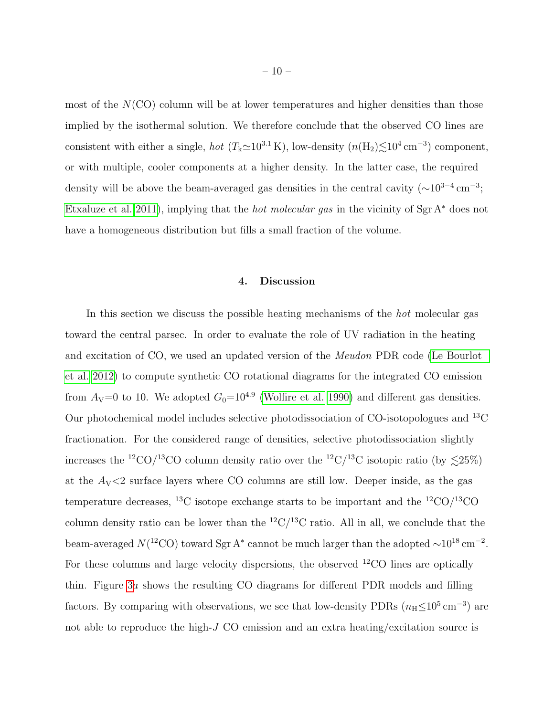most of the  $N(CO)$  column will be at lower temperatures and higher densities than those implied by the isothermal solution. We therefore conclude that the observed CO lines are consistent with either a single, *hot*  $(T_k \approx 10^{3.1} \text{ K})$ , low-density  $(n(H_2) \lesssim 10^4 \text{ cm}^{-3})$  component, or with multiple, cooler components at a higher density. In the latter case, the required density will be above the beam-averaged gas densities in the central cavity  $({\sim}10^{3-4}\,\mathrm{cm}^{-3})$ ; [Etxaluze et al. 2011\)](#page-13-7), implying that the hot molecular gas in the vicinity of Sgr A<sup>∗</sup> does not have a homogeneous distribution but fills a small fraction of the volume.

## 4. Discussion

In this section we discuss the possible heating mechanisms of the hot molecular gas toward the central parsec. In order to evaluate the role of UV radiation in the heating and excitation of CO, we used an updated version of the Meudon PDR code [\(Le Bourlot](#page-14-8) [et al. 2012\)](#page-14-8) to compute synthetic CO rotational diagrams for the integrated CO emission from  $A_V=0$  to 10. We adopted  $G_0=10^{4.9}$  [\(Wolfire et al. 1990\)](#page-15-10) and different gas densities. Our photochemical model includes selective photodissociation of CO-isotopologues and <sup>13</sup>C fractionation. For the considered range of densities, selective photodissociation slightly increases the <sup>12</sup>CO/<sup>13</sup>CO column density ratio over the <sup>12</sup>C/<sup>13</sup>C isotopic ratio (by  $\lesssim$ 25%) at the  $A_V < 2$  surface layers where CO columns are still low. Deeper inside, as the gas temperature decreases, <sup>13</sup>C isotope exchange starts to be important and the <sup>12</sup>CO/<sup>13</sup>CO column density ratio can be lower than the  $^{12}C/^{13}C$  ratio. All in all, we conclude that the beam-averaged  $N(^{12}CO)$  toward Sgr A<sup>\*</sup> cannot be much larger than the adopted  $\sim 10^{18} \text{ cm}^{-2}$ . For these columns and large velocity dispersions, the observed  $^{12}CO$  lines are optically thin. Figure [3](#page-19-0)a shows the resulting CO diagrams for different PDR models and filling factors. By comparing with observations, we see that low-density PDRs  $(n_{\rm H} \le 10^5 \,\rm cm^{-3})$  are not able to reproduce the high- $J$  CO emission and an extra heating/excitation source is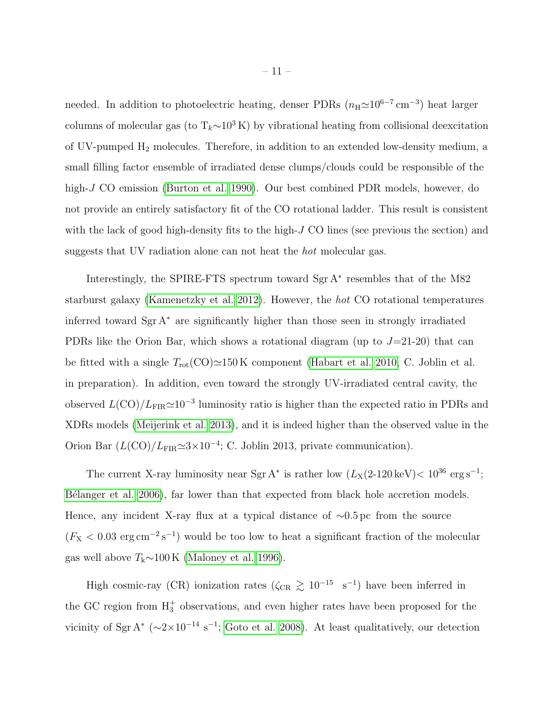needed. In addition to photoelectric heating, denser PDRs  $(n_H \simeq 10^{6-7} \text{ cm}^{-3})$  heat larger columns of molecular gas (to  $T_k \sim 10^3 \text{ K}$ ) by vibrational heating from collisional deexcitation of UV-pumped  $H_2$  molecules. Therefore, in addition to an extended low-density medium, a small filling factor ensemble of irradiated dense clumps/clouds could be responsible of the high-J CO emission [\(Burton et al. 1990\)](#page-13-8). Our best combined PDR models, however, do not provide an entirely satisfactory fit of the CO rotational ladder. This result is consistent with the lack of good high-density fits to the high- $J$  CO lines (see previous the section) and suggests that UV radiation alone can not heat the hot molecular gas.

Interestingly, the SPIRE-FTS spectrum toward Sgr A<sup>∗</sup> resembles that of the M82 starburst galaxy [\(Kamenetzky et al. 2012\)](#page-14-9). However, the hot CO rotational temperatures inferred toward  $Sgr A^*$  are significantly higher than those seen in strongly irradiated PDRs like the Orion Bar, which shows a rotational diagram (up to  $J=21-20$ ) that can be fitted with a single  $T_{\text{rot}}(\text{CO})\simeq150 \,\text{K}$  component [\(Habart et al. 2010,](#page-13-9) C. Joblin et al. in preparation). In addition, even toward the strongly UV-irradiated central cavity, the observed  $L(\text{CO})/L_{\text{FIR}}{\simeq}10^{-3}$  luminosity ratio is higher than the expected ratio in PDRs and XDRs models [\(Meijerink et al. 2013\)](#page-14-10), and it is indeed higher than the observed value in the Orion Bar  $(L({\rm CO})/L_{\rm FIR} \simeq 3 \times 10^{-4}$ ; C. Joblin 2013, private communication).

The current X-ray luminosity near Sgr A<sup>\*</sup> is rather low  $(L_X(2-120 \text{ keV}) < 10^{36} \text{ erg s}^{-1})$ ; B'elanger et al. 2006), far lower than that expected from black hole accretion models. Hence, any incident X-ray flux at a typical distance of ∼0.5 pc from the source  $(F_{\text{X}} < 0.03 \text{ erg cm}^{-2} \text{ s}^{-1})$  would be too low to heat a significant fraction of the molecular gas well above  $T_k$ ∼100 K [\(Maloney et al. 1996\)](#page-14-6).

High cosmic-ray (CR) ionization rates ( $\zeta_{CR} \gtrsim 10^{-15}$  s<sup>-1</sup>) have been inferred in the GC region from  $H_3^+$  observations, and even higher rates have been proposed for the vicinity of Sgr A<sup>\*</sup> ( $\sim$ 2×10<sup>-14</sup> s<sup>-1</sup>; [Goto et al. 2008\)](#page-13-11). At least qualitatively, our detection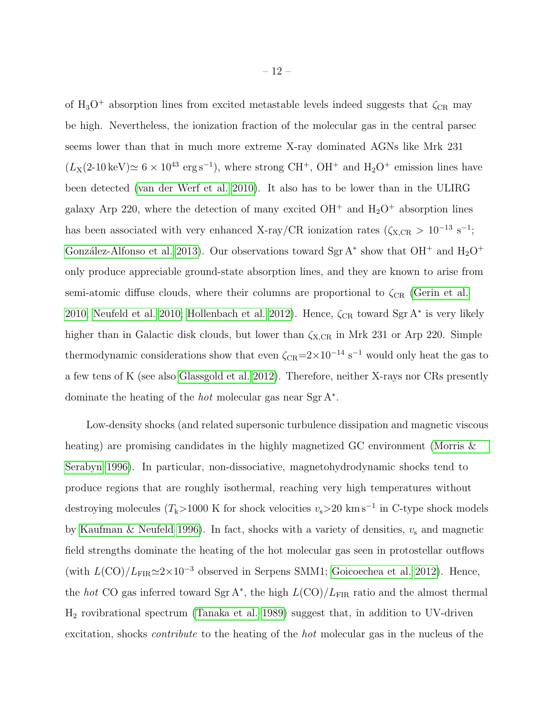of H<sub>3</sub>O<sup>+</sup> absorption lines from excited metastable levels indeed suggests that  $\zeta_{CR}$  may be high. Nevertheless, the ionization fraction of the molecular gas in the central parsec seems lower than that in much more extreme X-ray dominated AGNs like Mrk 231  $(L_X(2{\text -}10 \,\text{keV}) \simeq 6 \times 10^{43} \text{ erg s}^{-1})$ , where strong CH<sup>+</sup>, OH<sup>+</sup> and H<sub>2</sub>O<sup>+</sup> emission lines have been detected [\(van der Werf et al. 2010\)](#page-15-3). It also has to be lower than in the ULIRG galaxy Arp 220, where the detection of many excited  $OH^+$  and  $H_2O^+$  absorption lines has been associated with very enhanced X-ray/CR ionization rates ( $\zeta_{X,CR} > 10^{-13}$  s<sup>-1</sup>; González-Alfonso et al. 2013). Our observations toward Sgr A<sup>\*</sup> show that OH<sup>+</sup> and H<sub>2</sub>O<sup>+</sup> only produce appreciable ground-state absorption lines, and they are known to arise from semi-atomic diffuse clouds, where their columns are proportional to  $\zeta_{CR}$  [\(Gerin et al.](#page-13-13) [2010;](#page-13-13) [Neufeld et al. 2010;](#page-14-11) [Hollenbach et al. 2012\)](#page-14-12). Hence,  $\zeta_{CR}$  toward Sgr A<sup>\*</sup> is very likely higher than in Galactic disk clouds, but lower than  $\zeta_{X,CR}$  in Mrk 231 or Arp 220. Simple thermodynamic considerations show that even  $\zeta_{CR}$ =2×10<sup>-14</sup> s<sup>-1</sup> would only heat the gas to a few tens of K (see also [Glassgold et al. 2012\)](#page-13-14). Therefore, neither X-rays nor CRs presently dominate the heating of the hot molecular gas near Sgr A<sup>∗</sup> .

Low-density shocks (and related supersonic turbulence dissipation and magnetic viscous heating) are promising candidates in the highly magnetized GC environment [\(Morris &](#page-14-13) [Serabyn 1996\)](#page-14-13). In particular, non-dissociative, magnetohydrodynamic shocks tend to produce regions that are roughly isothermal, reaching very high temperatures without destroying molecules ( $T_k$ >1000 K for shock velocities  $v_s$ >20 km s<sup>-1</sup> in C-type shock models by [Kaufman & Neufeld 1996\)](#page-14-14). In fact, shocks with a variety of densities,  $v_s$  and magnetic field strengths dominate the heating of the hot molecular gas seen in protostellar outflows (with  $L({\rm CO})/L_{\rm FIR} \simeq 2 \times 10^{-3}$  observed in Serpens SMM1; [Goicoechea et al. 2012\)](#page-13-15). Hence, the hot CO gas inferred toward Sgr A<sup>\*</sup>, the high  $L({\rm CO})/L_{\rm FIR}$  ratio and the almost thermal H<sup>2</sup> rovibrational spectrum [\(Tanaka et al. 1989\)](#page-15-13) suggest that, in addition to UV-driven excitation, shocks contribute to the heating of the hot molecular gas in the nucleus of the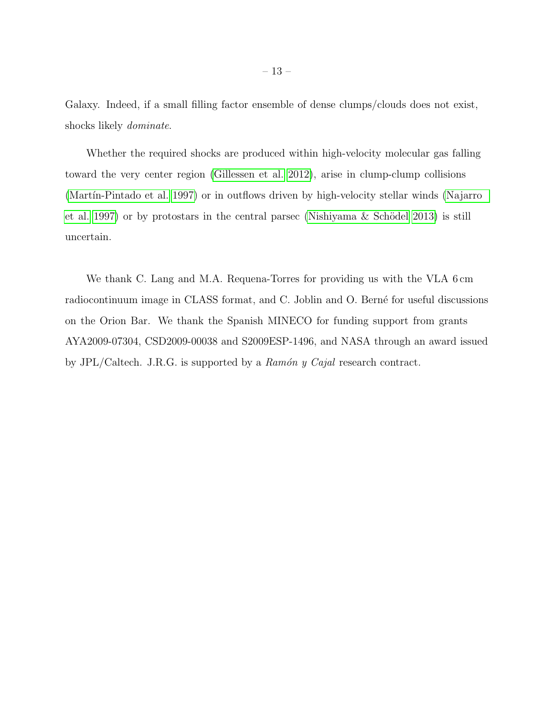Galaxy. Indeed, if a small filling factor ensemble of dense clumps/clouds does not exist, shocks likely dominate.

Whether the required shocks are produced within high-velocity molecular gas falling toward the very center region [\(Gillessen et al. 2012\)](#page-13-16), arise in clump-clump collisions (Martín-Pintado et al. 1997) or in outflows driven by high-velocity stellar winds [\(Najarro](#page-14-16) [et al. 1997\)](#page-14-16) or by protostars in the central parsec (Nishiyama  $\&$  Schödel 2013) is still uncertain.

We thank C. Lang and M.A. Requena-Torres for providing us with the VLA 6 cm radiocontinuum image in CLASS format, and C. Joblin and O. Berné for useful discussions on the Orion Bar. We thank the Spanish MINECO for funding support from grants AYA2009-07304, CSD2009-00038 and S2009ESP-1496, and NASA through an award issued by JPL/Caltech. J.R.G. is supported by a  $Ramón y Cajal$  research contract.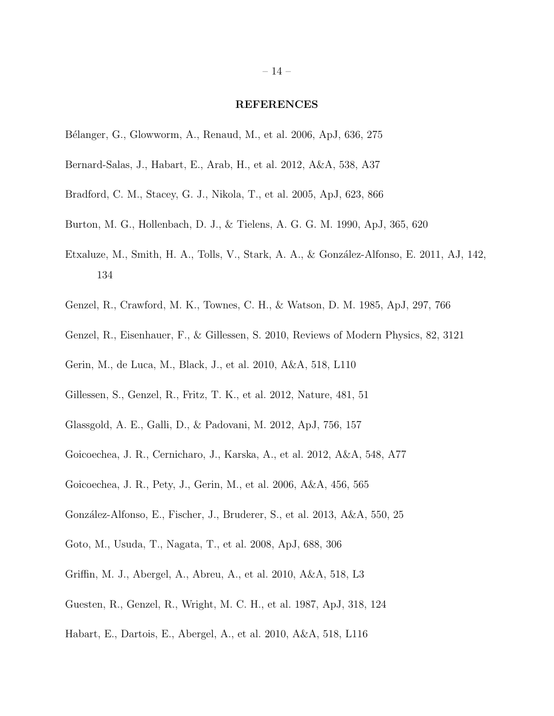#### REFERENCES

- <span id="page-13-10"></span>B´elanger, G., Glowworm, A., Renaud, M., et al. 2006, ApJ, 636, 275
- <span id="page-13-5"></span>Bernard-Salas, J., Habart, E., Arab, H., et al. 2012, A&A, 538, A37
- <span id="page-13-2"></span>Bradford, C. M., Stacey, G. J., Nikola, T., et al. 2005, ApJ, 623, 866
- <span id="page-13-8"></span>Burton, M. G., Hollenbach, D. J., & Tielens, A. G. G. M. 1990, ApJ, 365, 620
- <span id="page-13-7"></span>Etxaluze, M., Smith, H. A., Tolls, V., Stark, A. A., & González-Alfonso, E. 2011, AJ, 142, 134
- <span id="page-13-4"></span>Genzel, R., Crawford, M. K., Townes, C. H., & Watson, D. M. 1985, ApJ, 297, 766
- <span id="page-13-0"></span>Genzel, R., Eisenhauer, F., & Gillessen, S. 2010, Reviews of Modern Physics, 82, 3121
- <span id="page-13-13"></span>Gerin, M., de Luca, M., Black, J., et al. 2010, A&A, 518, L110
- <span id="page-13-16"></span>Gillessen, S., Genzel, R., Fritz, T. K., et al. 2012, Nature, 481, 51
- <span id="page-13-14"></span>Glassgold, A. E., Galli, D., & Padovani, M. 2012, ApJ, 756, 157
- <span id="page-13-15"></span>Goicoechea, J. R., Cernicharo, J., Karska, A., et al. 2012, A&A, 548, A77
- <span id="page-13-6"></span>Goicoechea, J. R., Pety, J., Gerin, M., et al. 2006, A&A, 456, 565
- <span id="page-13-12"></span>Gonz´alez-Alfonso, E., Fischer, J., Bruderer, S., et al. 2013, A&A, 550, 25
- <span id="page-13-11"></span>Goto, M., Usuda, T., Nagata, T., et al. 2008, ApJ, 688, 306
- <span id="page-13-3"></span>Griffin, M. J., Abergel, A., Abreu, A., et al. 2010, A&A, 518, L3
- <span id="page-13-1"></span>Guesten, R., Genzel, R., Wright, M. C. H., et al. 1987, ApJ, 318, 124
- <span id="page-13-9"></span>Habart, E., Dartois, E., Abergel, A., et al. 2010, A&A, 518, L116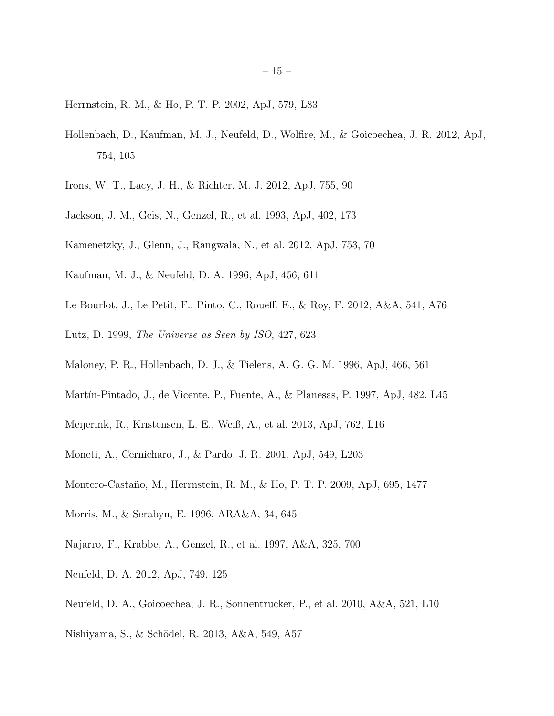<span id="page-14-2"></span>Herrnstein, R. M., & Ho, P. T. P. 2002, ApJ, 579, L83

- <span id="page-14-12"></span>Hollenbach, D., Kaufman, M. J., Neufeld, D., Wolfire, M., & Goicoechea, J. R. 2012, ApJ, 754, 105
- <span id="page-14-4"></span>Irons, W. T., Lacy, J. H., & Richter, M. J. 2012, ApJ, 755, 90
- <span id="page-14-5"></span>Jackson, J. M., Geis, N., Genzel, R., et al. 1993, ApJ, 402, 173
- <span id="page-14-9"></span>Kamenetzky, J., Glenn, J., Rangwala, N., et al. 2012, ApJ, 753, 70
- <span id="page-14-14"></span>Kaufman, M. J., & Neufeld, D. A. 1996, ApJ, 456, 611
- <span id="page-14-8"></span>Le Bourlot, J., Le Petit, F., Pinto, C., Roueff, E., & Roy, F. 2012, A&A, 541, A76
- <span id="page-14-3"></span>Lutz, D. 1999, The Universe as Seen by ISO, 427, 623
- <span id="page-14-6"></span>Maloney, P. R., Hollenbach, D. J., & Tielens, A. G. G. M. 1996, ApJ, 466, 561
- <span id="page-14-15"></span>Martín-Pintado, J., de Vicente, P., Fuente, A., & Planesas, P. 1997, ApJ, 482, L45
- <span id="page-14-10"></span>Meijerink, R., Kristensen, L. E., Weiß, A., et al. 2013, ApJ, 762, L16
- <span id="page-14-1"></span>Moneti, A., Cernicharo, J., & Pardo, J. R. 2001, ApJ, 549, L203
- <span id="page-14-0"></span>Montero-Casta˜no, M., Herrnstein, R. M., & Ho, P. T. P. 2009, ApJ, 695, 1477
- <span id="page-14-13"></span>Morris, M., & Serabyn, E. 1996, ARA&A, 34, 645
- <span id="page-14-16"></span>Najarro, F., Krabbe, A., Genzel, R., et al. 1997, A&A, 325, 700
- <span id="page-14-7"></span>Neufeld, D. A. 2012, ApJ, 749, 125
- <span id="page-14-11"></span>Neufeld, D. A., Goicoechea, J. R., Sonnentrucker, P., et al. 2010, A&A, 521, L10
- <span id="page-14-17"></span>Nishiyama, S., & Schödel, R. 2013, A&A, 549, A57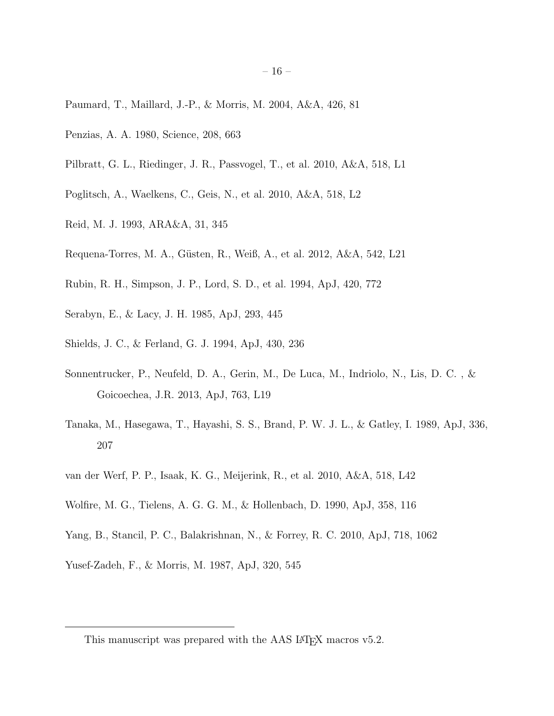- <span id="page-15-7"></span>Paumard, T., Maillard, J.-P., & Morris, M. 2004, A&A, 426, 81
- <span id="page-15-12"></span>Penzias, A. A. 1980, Science, 208, 663
- <span id="page-15-4"></span>Pilbratt, G. L., Riedinger, J. R., Passvogel, T., et al. 2010, A&A, 518, L1
- <span id="page-15-5"></span>Poglitsch, A., Waelkens, C., Geis, N., et al. 2010, A&A, 518, L2
- <span id="page-15-0"></span>Reid, M. J. 1993, ARA&A, 31, 345
- <span id="page-15-2"></span>Requena-Torres, M. A., Güsten, R., Weiß, A., et al. 2012, A&A, 542, L21
- <span id="page-15-8"></span>Rubin, R. H., Simpson, J. P., Lord, S. D., et al. 1994, ApJ, 420, 772
- <span id="page-15-6"></span>Serabyn, E., & Lacy, J. H. 1985, ApJ, 293, 445
- <span id="page-15-9"></span>Shields, J. C., & Ferland, G. J. 1994, ApJ, 430, 236
- <span id="page-15-11"></span>Sonnentrucker, P., Neufeld, D. A., Gerin, M., De Luca, M., Indriolo, N., Lis, D. C. , & Goicoechea, J.R. 2013, ApJ, 763, L19
- <span id="page-15-13"></span>Tanaka, M., Hasegawa, T., Hayashi, S. S., Brand, P. W. J. L., & Gatley, I. 1989, ApJ, 336, 207
- <span id="page-15-3"></span>van der Werf, P. P., Isaak, K. G., Meijerink, R., et al. 2010, A&A, 518, L42
- <span id="page-15-10"></span>Wolfire, M. G., Tielens, A. G. G. M., & Hollenbach, D. 1990, ApJ, 358, 116
- Yang, B., Stancil, P. C., Balakrishnan, N., & Forrey, R. C. 2010, ApJ, 718, 1062
- <span id="page-15-1"></span>Yusef-Zadeh, F., & Morris, M. 1987, ApJ, 320, 545

This manuscript was prepared with the AAS LAT<sub>E</sub>X macros v5.2.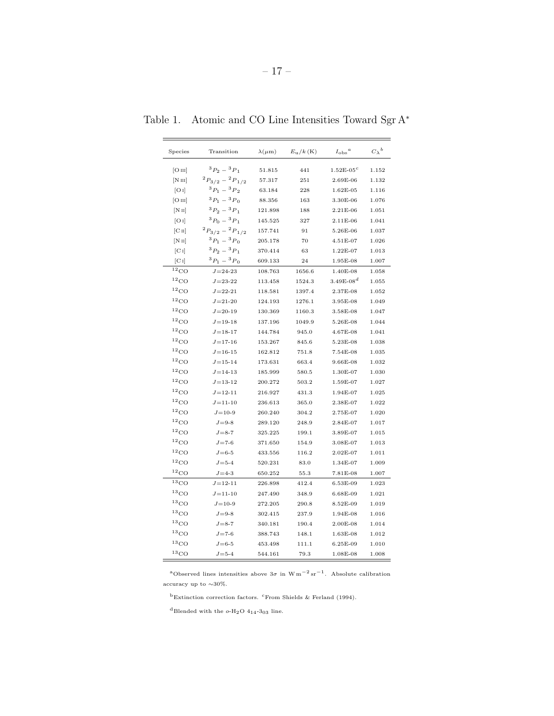<span id="page-16-0"></span>

| Species                      | Transition                  | $\lambda(\mu m)$ | $E_{\rm u}/k$ (K) | $I_{\rm obs}{}^a$ | $C_{\lambda}{}^{b}$ |
|------------------------------|-----------------------------|------------------|-------------------|-------------------|---------------------|
| [O <sub>III</sub> ]          | ${}^{3}P_{2} - {}^{3}P_{1}$ | 51.815           | 441               | $1.52E - 05c$     | 1.152               |
| [N <sub>III</sub> ]          | $^{2}P_{3/2} - ^{2}P_{1/2}$ | 57.317           | 251               | 2.69E-06          | 1.132               |
| [O I]                        | ${}^{3}P_1 - {}^{3}P_2$     | 63.184           | 228               | $1.62E-05$        | 1.116               |
| [O <sub>III</sub> ]          | ${}^{3}P_1-{}^{3}P_0$       | 88.356           | 163               | 3.30E-06          | 1.076               |
| [NII]                        | ${}^{3}P_2-{}^{3}P_1$       | 121.898          | 188               | 2.21E-06          | 1.051               |
| [O I]                        | ${}^{3}P_0 - {}^{3}P_1$     | 145.525          | 327               | 2.11E-06          | 1.041               |
| $\left[ \text{C II} \right]$ | $^{2}P_{3/2} - ^{2}P_{1/2}$ | 157.741          | 91                | 5.26E-06          | 1.037               |
| [N <sub>II</sub> ]           | ${}^{3}P_1 - {}^{3}P_0$     | 205.178          | 70                | 4.51E-07          | 1.026               |
| $[C_1]$                      | ${}^{3}P_2-{}^{3}P_1$       | 370.414          | 63                | 1.22E-07          | 1.013               |
| $[C_1]$                      | ${}^{3}P_1-{}^{3}P_0$       | 609.133          | 24                | $1.95E-08$        | 1.007               |
| $^{12}$ CO                   | $J = 24 - 23$               | 108.763          | 1656.6            | 1.40E-08          | 1.058               |
| $^{12}$ CO                   | $J = 23 - 22$               | 113.458          | 1524.3            | $3.49E-08d$       | 1.055               |
| $^{12}$ CO                   | $J = 22 - 21$               | 118.581          | 1397.4            | 2.37E-08          | 1.052               |
| $^{12}$ CO                   | $J = 21 - 20$               | 124.193          | 1276.1            | 3.95E-08          | 1.049               |
| $^{12}$ CO                   | $J = 20 - 19$               | 130.369          | 1160.3            | 3.58E-08          | 1.047               |
| $^{12}\mathrm{CO}$           | $J = 19 - 18$               | 137.196          | 1049.9            | 5.26E-08          | 1.044               |
| $^{12}$ CO                   | $J = 18 - 17$               | 144.784          | 945.0             | 4.67E-08          | 1.041               |
| $^{12}$ CO                   | $J = 17 - 16$               | 153.267          | 845.6             | 5.23E-08          | 1.038               |
| $^{12}\mathrm{CO}$           | $J = 16 - 15$               | 162.812          | 751.8             | 7.54E-08          | 1.035               |
| $^{12}\mathrm{CO}$           | $J = 15 - 14$               | 173.631          | 663.4             | $9.66E-08$        | 1.032               |
| $^{12}$ CO                   | $J = 14 - 13$               | 185.999          | 580.5             | 1.30E-07          | 1.030               |
| $^{12}$ CO                   | $J = 13 - 12$               | 200.272          | 503.2             | 1.59E-07          | 1.027               |
| $^{12}\mathrm{CO}$           | $J = 12 - 11$               | 216.927          | 431.3             | 1.94E-07          | 1.025               |
| $^{12}$ CO                   | $J = 11 - 10$               | 236.613          | 365.0             | 2.38E-07          | 1.022               |
| $^{12}$ CO                   | $J = 10 - 9$                | 260.240          | 304.2             | 2.75E-07          | 1.020               |
| $^{12}$ CO                   | $J = 9-8$                   | 289.120          | 248.9             | 2.84E-07          | 1.017               |
| $^{12}$ CO                   | $J = 8 - 7$                 | 325.225          | 199.1             | 3.89E-07          | 1.015               |
| $^{12}\mathrm{CO}$           | $J = 7 - 6$                 | 371.650          | 154.9             | 3.08E-07          | 1.013               |
| $^{12}\mathrm{CO}$           | $J = 6 - 5$                 | 433.556          | 116.2             | $2.02E-07$        | 1.011               |
| $^{12}$ CO                   | $J = 5 - 4$                 | 520.231          | 83.0              | 1.34E-07          | 1.009               |
| $^{12}$ CO                   | $J = 4-3$                   | 650.252          | 55.3              | 7.81E-08          | 1.007               |
| 13 <sub>CO</sub>             | $J = 12 - 11$               | 226.898          | 412.4             | 6.53E-09          | 1.023               |
| $^{13}$ CO                   | $J = 11 - 10$               | 247.490          | 348.9             | 6.68E-09          | 1.021               |
| $^{13}$ CO                   | $J = 10-9$                  | 272.205          | 290.8             | 8.52E-09          | 1.019               |
| $^{13}$ CO                   | $J = 9-8$                   | 302.415          | 237.9             | 1.94E-08          | 1.016               |
| $^{13}\mathrm{CO}$           | $J = 8 - 7$                 | 340.181          | 190.4             | $2.00E-08$        | 1.014               |
| $^{13}\mathrm{CO}$           | $J = 7-6$                   | 388.743          | 148.1             | $1.63E-08$        | 1.012               |
| $^{13}$ CO                   | $J = 6-5$                   | 453.498          | 111.1             | $6.25E-09$        | 1.010               |
| $^{13}$ CO                   | $J = 5 - 4$                 | 544.161          | 79.3              | 1.08E-08          | 1.008               |

Table 1. Atomic and CO Line Intensities Toward Sgr A<sup>∗</sup>

a<br>Observed lines intensities above  $3\sigma$  in<br>  $\text{W}\,\text{m}^{-2}\,\text{sr}^{-1}.$  Absolute calibration accuracy up to  ${\sim}30\%.$ 

 $^{\rm b}$ Extinction correction factors. $^{\rm c}$  From Shields & Ferland (1994).

 $^{\rm d}$  Blended with the  $o\text{-}{\rm H}_2\rm{O}$   $4_{14}$  -3 $_{03}$  line.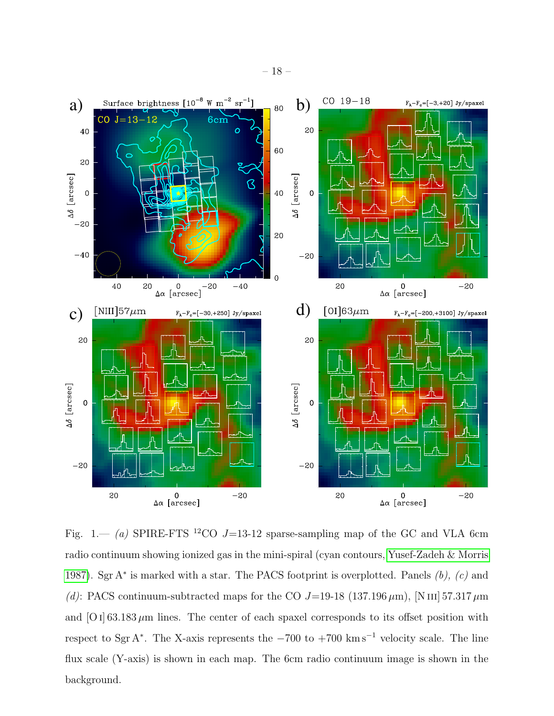

<span id="page-17-0"></span>Fig. 1.— (a) SPIRE-FTS <sup>12</sup>CO J=13-12 sparse-sampling map of the GC and VLA 6cm radio continuum showing ionized gas in the mini-spiral (cyan contours, [Yusef-Zadeh & Morris](#page-15-1) [1987\)](#page-15-1). Sgr A<sup>\*</sup> is marked with a star. The PACS footprint is overplotted. Panels  $(b)$ ,  $(c)$  and (d): PACS continuum-subtracted maps for the CO  $J=19-18$  (137.196  $\mu$ m), [N III] 57.317  $\mu$ m and  $[O I] 63.183 \mu m$  lines. The center of each spaxel corresponds to its offset position with respect to Sgr A<sup>\*</sup>. The X-axis represents the  $-700$  to  $+700$  km s<sup>-1</sup> velocity scale. The line flux scale (Y-axis) is shown in each map. The 6cm radio continuum image is shown in the background.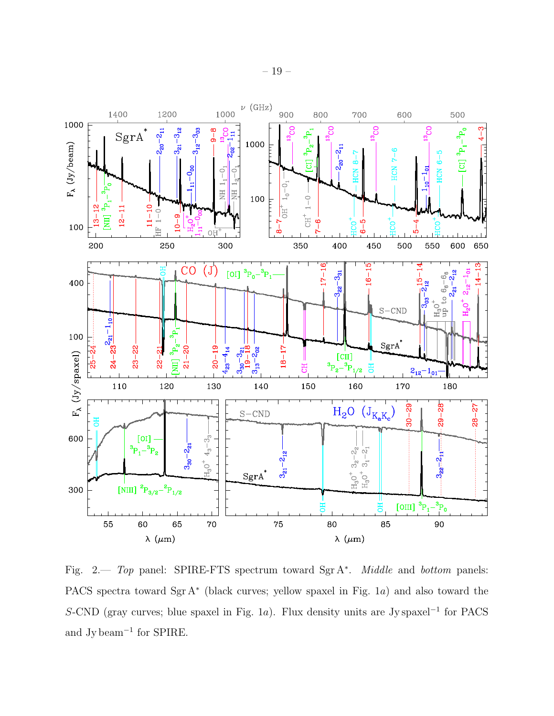

<span id="page-18-0"></span>Fig. 2. Top panel: SPIRE-FTS spectrum toward SgrA<sup>\*</sup>. Middle and bottom panels: PACS spectra toward Sgr A<sup>\*</sup> (black curves; yellow spaxel in Fig. 1a) and also toward the S-CND (gray curves; blue spaxel in Fig. 1a). Flux density units are Jy spaxel<sup>-1</sup> for PACS and Jy beam<sup>−</sup><sup>1</sup> for SPIRE.